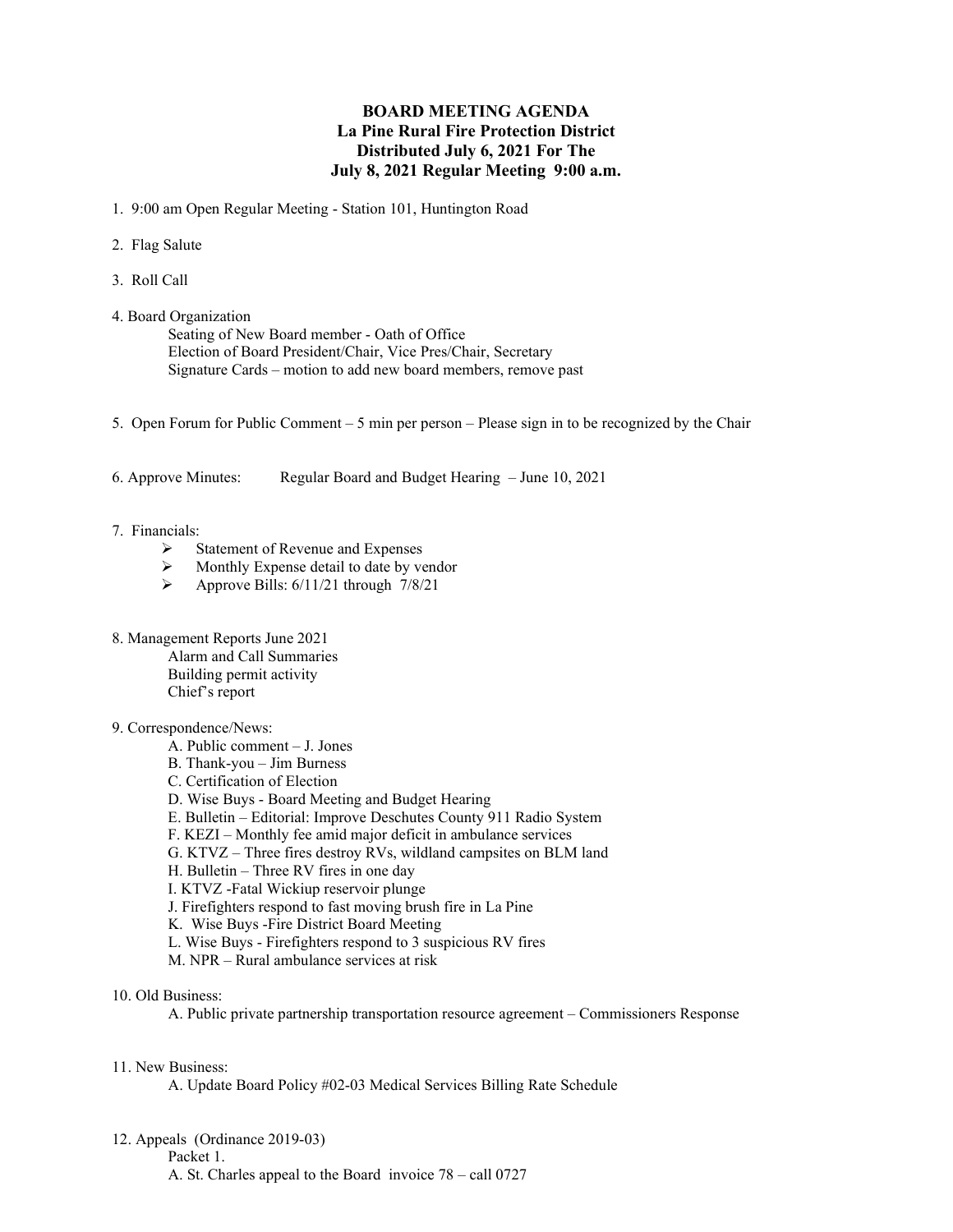## **BOARD MEETING AGENDA La Pine Rural Fire Protection District Distributed July 6, 2021 For The July 8, 2021 Regular Meeting 9:00 a.m.**

1. 9:00 am Open Regular Meeting - Station 101, Huntington Road

- 2. Flag Salute
- 3. Roll Call
- 4. Board Organization

Seating of New Board member - Oath of Office Election of Board President/Chair, Vice Pres/Chair, Secretary Signature Cards – motion to add new board members, remove past

- 5. Open Forum for Public Comment 5 min per person Please sign in to be recognized by the Chair
- 6. Approve Minutes: Regular Board and Budget Hearing June 10, 2021

## 7. Financials:

- $\triangleright$  Statement of Revenue and Expenses
- $\triangleright$  Monthly Expense detail to date by vendor<br>  $\triangleright$  Approve Bills: 6/11/21 through 7/8/21
- Approve Bills: 6/11/21 through 7/8/21
- 8. Management Reports June 2021

Alarm and Call Summaries Building permit activity Chief's report

## 9. Correspondence/News:

- A. Public comment J. Jones
- B. Thank-you Jim Burness
- C. Certification of Election
- D. Wise Buys Board Meeting and Budget Hearing
- E. Bulletin Editorial: Improve Deschutes County 911 Radio System
- F. KEZI Monthly fee amid major deficit in ambulance services
- G. KTVZ Three fires destroy RVs, wildland campsites on BLM land
- H. Bulletin Three RV fires in one day
- I. KTVZ -Fatal Wickiup reservoir plunge
- J. Firefighters respond to fast moving brush fire in La Pine
- K. Wise Buys -Fire District Board Meeting
- L. Wise Buys Firefighters respond to 3 suspicious RV fires
- M. NPR Rural ambulance services at risk
- 10. Old Business:

A. Public private partnership transportation resource agreement – Commissioners Response

## 11. New Business:

A. Update Board Policy #02-03 Medical Services Billing Rate Schedule

12. Appeals (Ordinance 2019-03)

Packet 1.

A. St. Charles appeal to the Board invoice 78 – call 0727